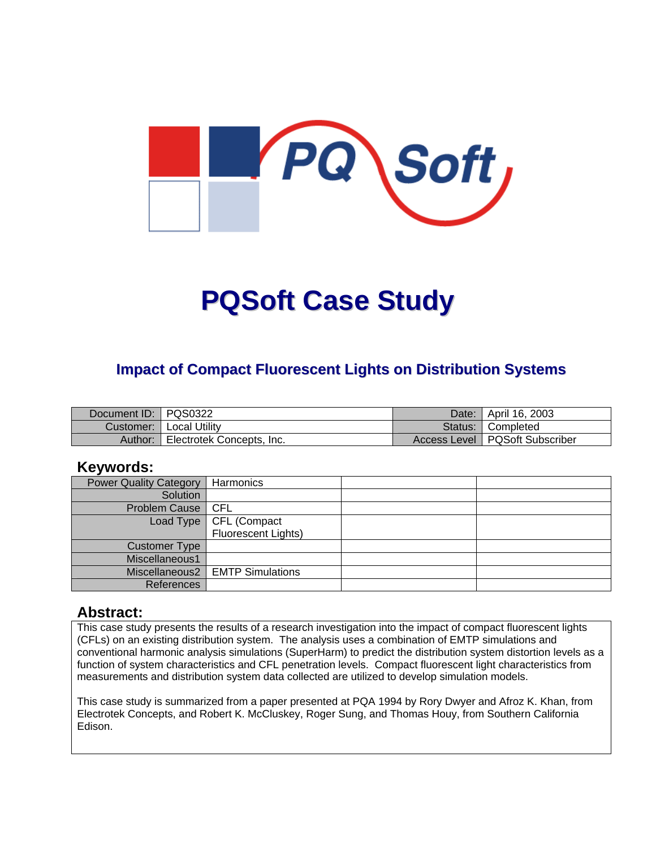

# **PQSoft Case Study**

## **Impact of Compact Fluorescent Lights on Distribution Systems**

| Document ID: PQS0322 |                           | Date: I | l April 16. 2003                 |
|----------------------|---------------------------|---------|----------------------------------|
|                      | Customer:   Local Utility |         | Status: Completed                |
| Author:              | Electrotek Concepts, Inc. |         | Access Level   PQSoft Subscriber |

#### **Keywords:**

| <b>Power Quality Category</b> | Harmonics                         |  |
|-------------------------------|-----------------------------------|--|
| Solution                      |                                   |  |
| Problem Cause   CFL           |                                   |  |
|                               | Load Type   CFL (Compact          |  |
|                               | Fluorescent Lights)               |  |
| <b>Customer Type</b>          |                                   |  |
| Miscellaneous1                |                                   |  |
|                               | Miscellaneous2   EMTP Simulations |  |
| References                    |                                   |  |

#### **Abstract:**

This case study presents the results of a research investigation into the impact of compact fluorescent lights (CFLs) on an existing distribution system. The analysis uses a combination of EMTP simulations and conventional harmonic analysis simulations (SuperHarm) to predict the distribution system distortion levels as a function of system characteristics and CFL penetration levels. Compact fluorescent light characteristics from measurements and distribution system data collected are utilized to develop simulation models.

This case study is summarized from a paper presented at PQA 1994 by Rory Dwyer and Afroz K. Khan, from Electrotek Concepts, and Robert K. McCluskey, Roger Sung, and Thomas Houy, from Southern California Edison.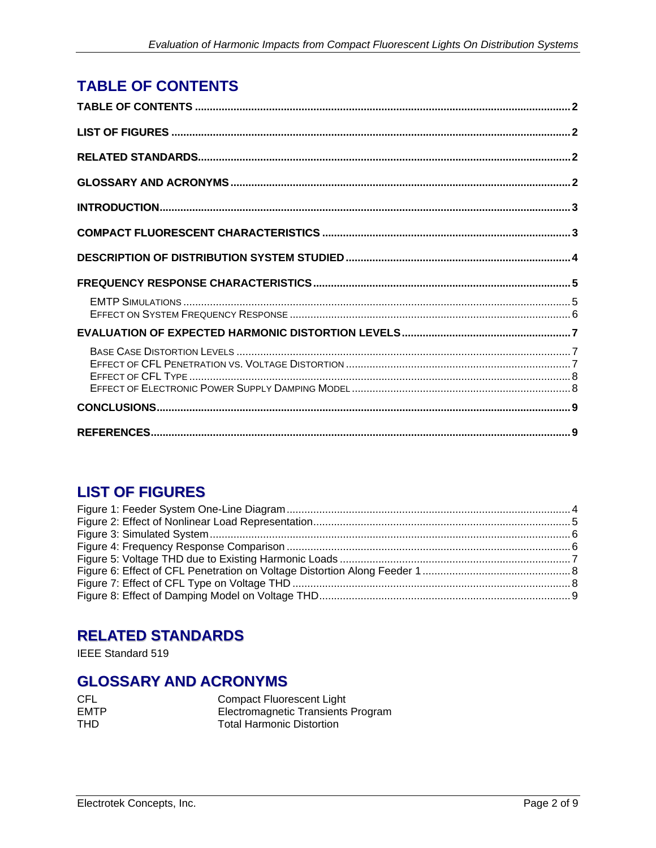# <span id="page-1-0"></span>**TABLE OF CONTENTS**

## **LIST OF FIGURES**

## **RELATED STANDARDS**

IEEE Standard 519

## **GLOSSARY AND ACRONYMS**

| CEL. |
|------|
| EMTP |
| THD  |

**Compact Fluorescent Light** Electromagnetic Transients Program **Total Harmonic Distortion**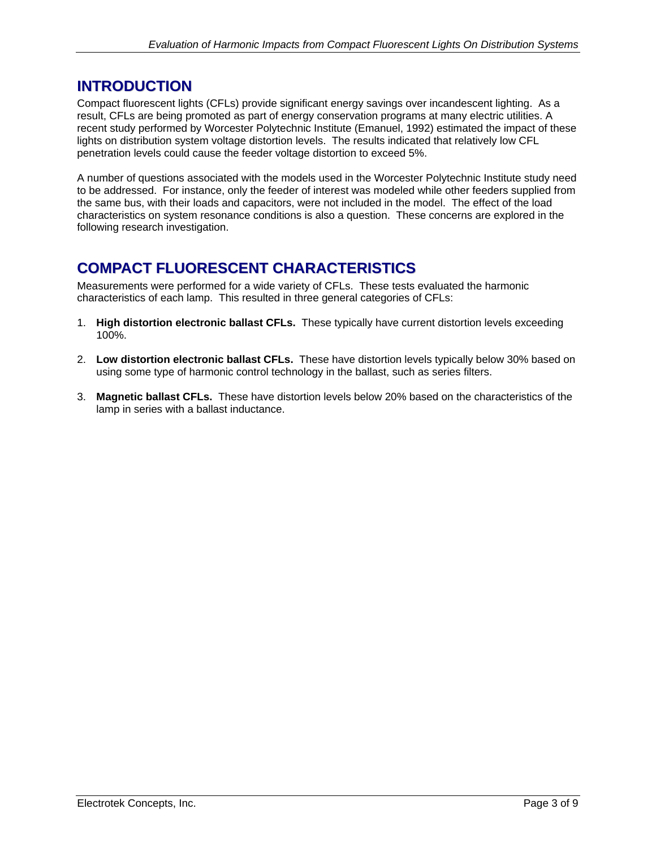## <span id="page-2-0"></span>**INTRODUCTION**

Compact fluorescent lights (CFLs) provide significant energy savings over incandescent lighting. As a result, CFLs are being promoted as part of energy conservation programs at many electric utilities. A recent study performed by Worcester Polytechnic Institute (Emanuel, 1992) estimated the impact of these lights on distribution system voltage distortion levels. The results indicated that relatively low CFL penetration levels could cause the feeder voltage distortion to exceed 5%.

A number of questions associated with the models used in the Worcester Polytechnic Institute study need to be addressed. For instance, only the feeder of interest was modeled while other feeders supplied from the same bus, with their loads and capacitors, were not included in the model. The effect of the load characteristics on system resonance conditions is also a question. These concerns are explored in the following research investigation.

# **COMPACT FLUORESCENT CHARACTERISTICS**

Measurements were performed for a wide variety of CFLs. These tests evaluated the harmonic characteristics of each lamp. This resulted in three general categories of CFLs:

- 1. **High distortion electronic ballast CFLs.** These typically have current distortion levels exceeding 100%.
- 2. **Low distortion electronic ballast CFLs.** These have distortion levels typically below 30% based on using some type of harmonic control technology in the ballast, such as series filters.
- 3. **Magnetic ballast CFLs.** These have distortion levels below 20% based on the characteristics of the lamp in series with a ballast inductance.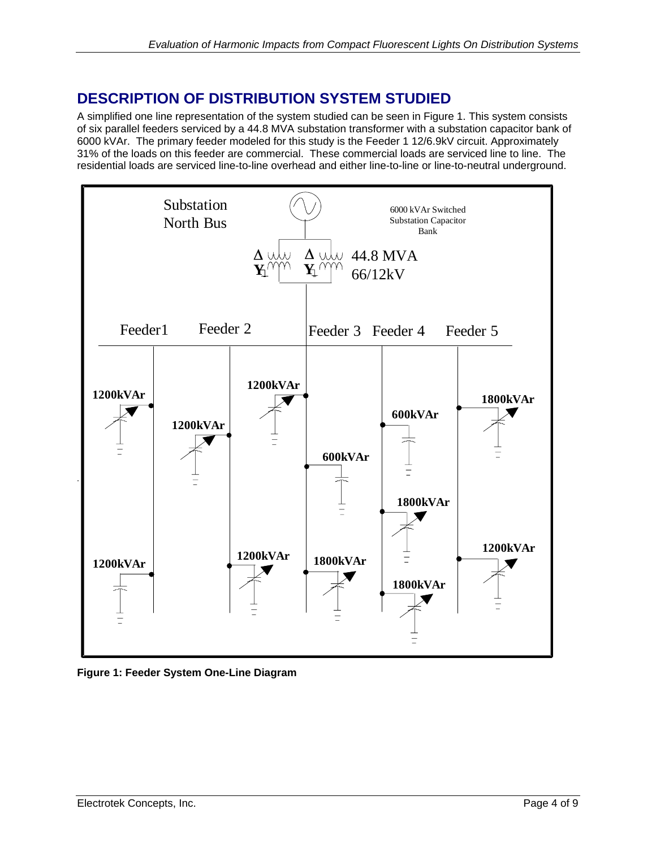## <span id="page-3-0"></span>**DESCRIPTION OF DISTRIBUTION SYSTEM STUDIED**

A simplified one line representation of the system studied can be seen in Figure 1. This system consists of six parallel feeders serviced by a 44.8 MVA substation transformer with a substation capacitor bank of 6000 kVAr. The primary feeder modeled for this study is the Feeder 1 12/6.9kV circuit. Approximately 31% of the loads on this feeder are commercial. These commercial loads are serviced line to line. The residential loads are serviced line-to-line overhead and either line-to-line or line-to-neutral underground.



**Figure 1: Feeder System One-Line Diagram**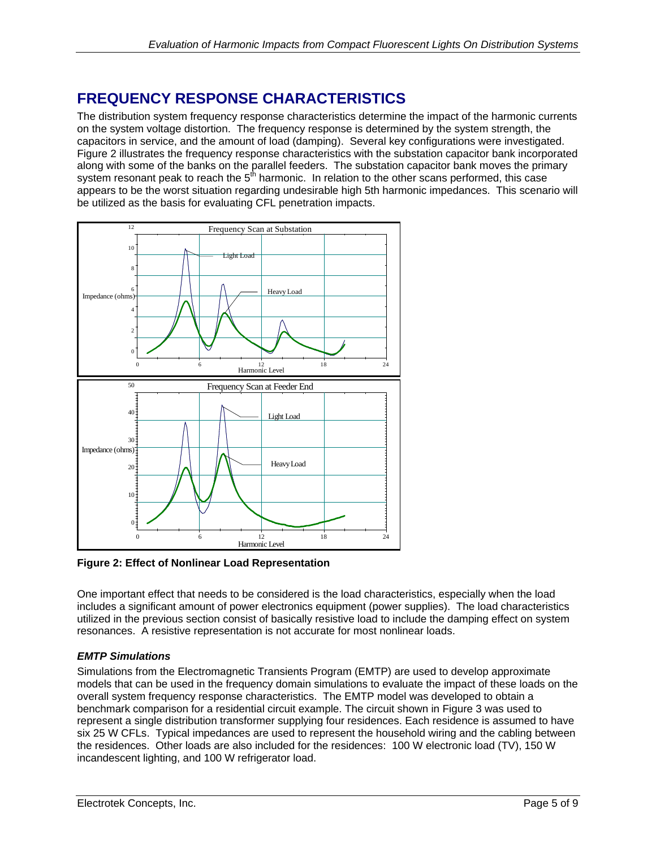## <span id="page-4-0"></span>**FREQUENCY RESPONSE CHARACTERISTICS**

The distribution system frequency response characteristics determine the impact of the harmonic currents on the system voltage distortion. The frequency response is determined by the system strength, the capacitors in service, and the amount of load (damping). Several key configurations were investigated. Figure 2 illustrates the frequency response characteristics with the substation capacitor bank incorporated along with some of the banks on the parallel feeders. The substation capacitor bank moves the primary system resonant peak to reach the  $5<sup>th</sup>$  harmonic. In relation to the other scans performed, this case appears to be the worst situation regarding undesirable high 5th harmonic impedances. This scenario will be utilized as the basis for evaluating CFL penetration impacts.



**Figure 2: Effect of Nonlinear Load Representation**

One important effect that needs to be considered is the load characteristics, especially when the load includes a significant amount of power electronics equipment (power supplies). The load characteristics utilized in the previous section consist of basically resistive load to include the damping effect on system resonances. A resistive representation is not accurate for most nonlinear loads.

#### *EMTP Simulations*

Simulations from the Electromagnetic Transients Program (EMTP) are used to develop approximate models that can be used in the frequency domain simulations to evaluate the impact of these loads on the overall system frequency response characteristics. The EMTP model was developed to obtain a benchmark comparison for a residential circuit example. The circuit shown in Figure 3 was used to represent a single distribution transformer supplying four residences. Each residence is assumed to have six 25 W CFLs. Typical impedances are used to represent the household wiring and the cabling between the residences. Other loads are also included for the residences: 100 W electronic load (TV), 150 W incandescent lighting, and 100 W refrigerator load.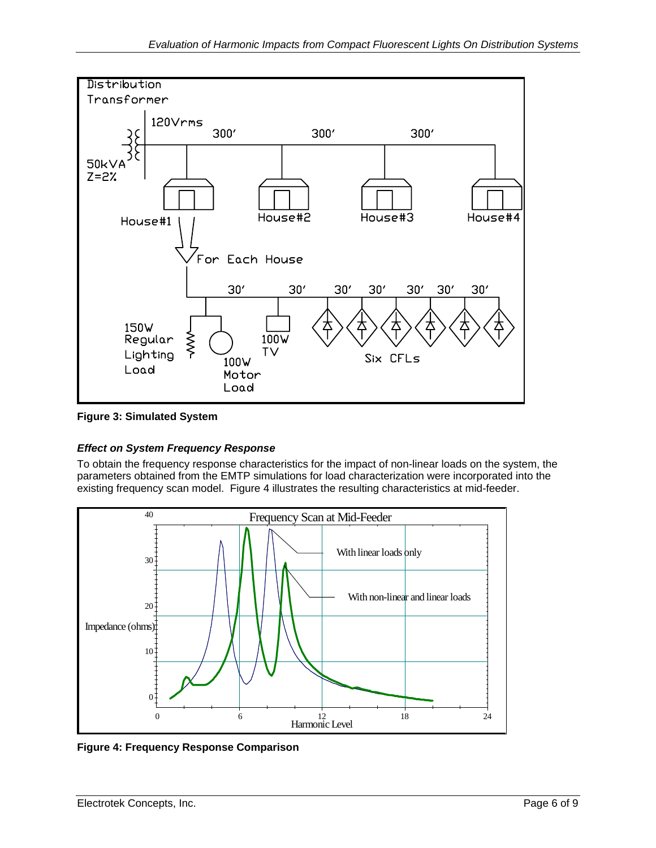<span id="page-5-0"></span>



#### *Effect on System Frequency Response*

To obtain the frequency response characteristics for the impact of non-linear loads on the system, the parameters obtained from the EMTP simulations for load characterization were incorporated into the existing frequency scan model. Figure 4 illustrates the resulting characteristics at mid-feeder.



**Figure 4: Frequency Response Comparison**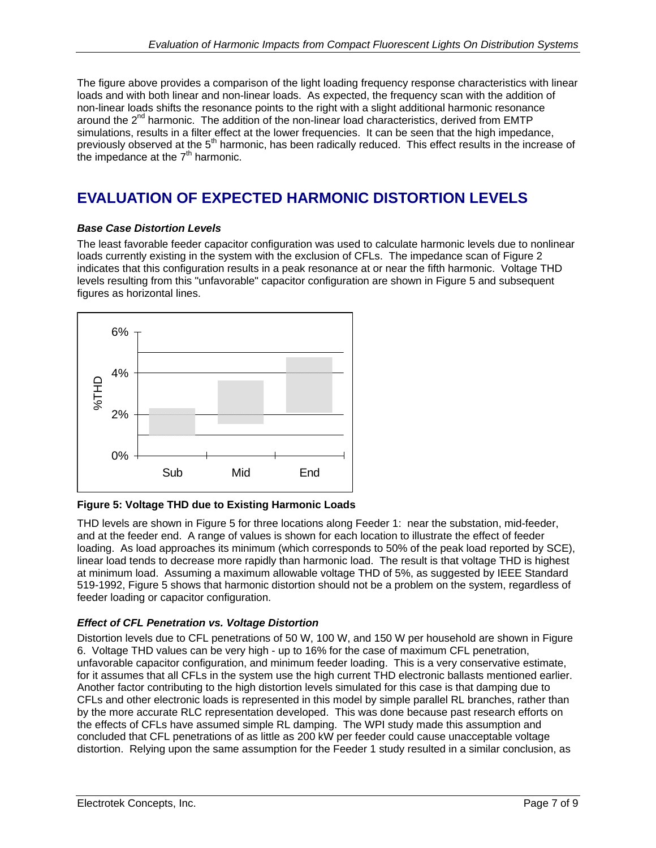<span id="page-6-0"></span>The figure above provides a comparison of the light loading frequency response characteristics with linear loads and with both linear and non-linear loads. As expected, the frequency scan with the addition of non-linear loads shifts the resonance points to the right with a slight additional harmonic resonance around the  $2<sup>nd</sup>$  harmonic. The addition of the non-linear load characteristics, derived from EMTP simulations, results in a filter effect at the lower frequencies. It can be seen that the high impedance, previously observed at the 5<sup>th</sup> harmonic, has been radically reduced. This effect results in the increase of the impedance at the  $7<sup>th</sup>$  harmonic.

# **EVALUATION OF EXPECTED HARMONIC DISTORTION LEVELS**

#### *Base Case Distortion Levels*

The least favorable feeder capacitor configuration was used to calculate harmonic levels due to nonlinear loads currently existing in the system with the exclusion of CFLs. The impedance scan of Figure 2 indicates that this configuration results in a peak resonance at or near the fifth harmonic. Voltage THD levels resulting from this "unfavorable" capacitor configuration are shown in Figure 5 and subsequent figures as horizontal lines.



#### **Figure 5: Voltage THD due to Existing Harmonic Loads**

THD levels are shown in Figure 5 for three locations along Feeder 1: near the substation, mid-feeder, and at the feeder end. A range of values is shown for each location to illustrate the effect of feeder loading. As load approaches its minimum (which corresponds to 50% of the peak load reported by SCE), linear load tends to decrease more rapidly than harmonic load. The result is that voltage THD is highest at minimum load. Assuming a maximum allowable voltage THD of 5%, as suggested by IEEE Standard 519-1992, Figure 5 shows that harmonic distortion should not be a problem on the system, regardless of feeder loading or capacitor configuration.

#### *Effect of CFL Penetration vs. Voltage Distortion*

Distortion levels due to CFL penetrations of 50 W, 100 W, and 150 W per household are shown in Figure 6. Voltage THD values can be very high - up to 16% for the case of maximum CFL penetration, unfavorable capacitor configuration, and minimum feeder loading. This is a very conservative estimate, for it assumes that all CFLs in the system use the high current THD electronic ballasts mentioned earlier. Another factor contributing to the high distortion levels simulated for this case is that damping due to CFLs and other electronic loads is represented in this model by simple parallel RL branches, rather than by the more accurate RLC representation developed. This was done because past research efforts on the effects of CFLs have assumed simple RL damping. The WPI study made this assumption and concluded that CFL penetrations of as little as 200 kW per feeder could cause unacceptable voltage distortion. Relying upon the same assumption for the Feeder 1 study resulted in a similar conclusion, as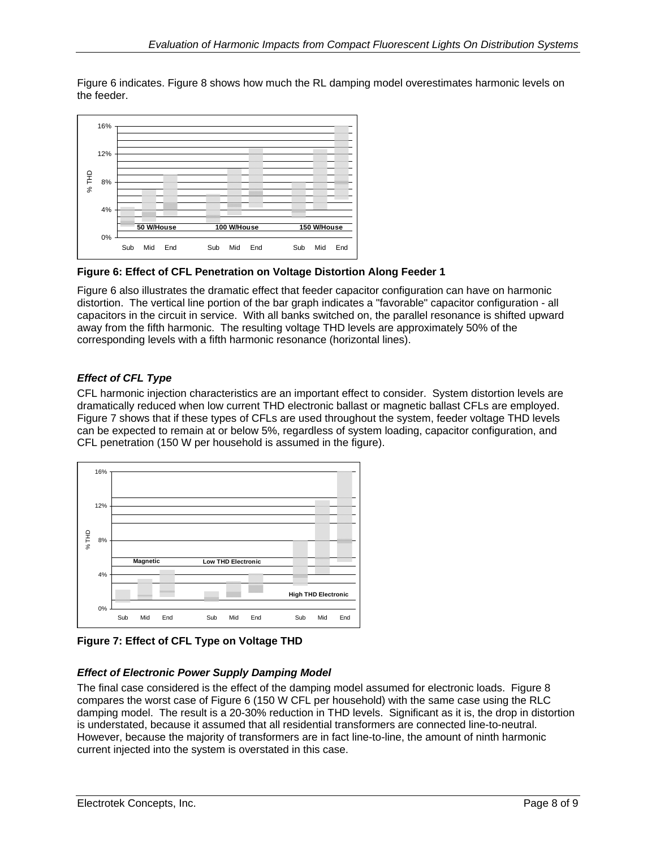<span id="page-7-0"></span>Figure 6 indicates. Figure 8 shows how much the RL damping model overestimates harmonic levels on the feeder.



**Figure 6: Effect of CFL Penetration on Voltage Distortion Along Feeder 1**

Figure 6 also illustrates the dramatic effect that feeder capacitor configuration can have on harmonic distortion. The vertical line portion of the bar graph indicates a "favorable" capacitor configuration - all capacitors in the circuit in service. With all banks switched on, the parallel resonance is shifted upward away from the fifth harmonic. The resulting voltage THD levels are approximately 50% of the corresponding levels with a fifth harmonic resonance (horizontal lines).

#### *Effect of CFL Type*

CFL harmonic injection characteristics are an important effect to consider. System distortion levels are dramatically reduced when low current THD electronic ballast or magnetic ballast CFLs are employed. Figure 7 shows that if these types of CFLs are used throughout the system, feeder voltage THD levels can be expected to remain at or below 5%, regardless of system loading, capacitor configuration, and CFL penetration (150 W per household is assumed in the figure).



**Figure 7: Effect of CFL Type on Voltage THD** 

#### *Effect of Electronic Power Supply Damping Model*

The final case considered is the effect of the damping model assumed for electronic loads. Figure 8 compares the worst case of Figure 6 (150 W CFL per household) with the same case using the RLC damping model. The result is a 20-30% reduction in THD levels. Significant as it is, the drop in distortion is understated, because it assumed that all residential transformers are connected line-to-neutral. However, because the majority of transformers are in fact line-to-line, the amount of ninth harmonic current injected into the system is overstated in this case.